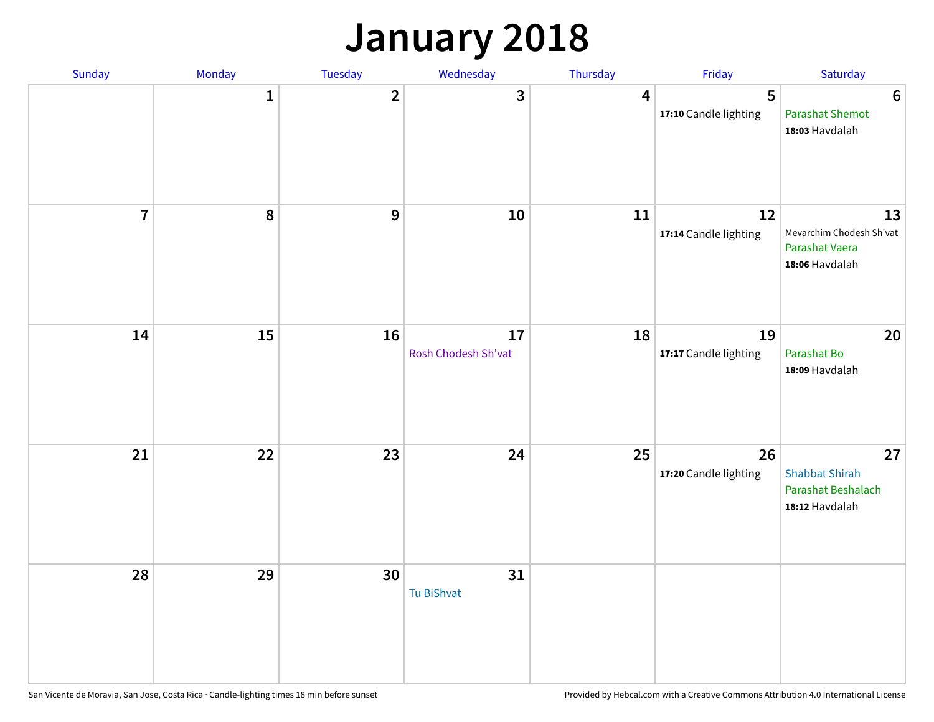# **January 2018**

| Sunday         | Monday       | <b>Tuesday</b>   | Wednesday                 | Thursday       | Friday                      | Saturday                                                            |
|----------------|--------------|------------------|---------------------------|----------------|-----------------------------|---------------------------------------------------------------------|
|                | $\mathbf{1}$ | $\overline{2}$   | 3                         | $\overline{4}$ | 5<br>17:10 Candle lighting  | $\boldsymbol{6}$<br><b>Parashat Shemot</b><br>18:03 Havdalah        |
| $\overline{7}$ | 8            | $\boldsymbol{9}$ | 10                        | 11             | 12<br>17:14 Candle lighting | 13<br>Mevarchim Chodesh Sh'vat<br>Parashat Vaera<br>18:06 Havdalah  |
| 14             | 15           | 16               | 17<br>Rosh Chodesh Sh'vat | 18             | 19<br>17:17 Candle lighting | 20<br>Parashat Bo<br>18:09 Havdalah                                 |
| 21             | 22           | 23               | 24                        | 25             | 26<br>17:20 Candle lighting | 27<br><b>Shabbat Shirah</b><br>Parashat Beshalach<br>18:12 Havdalah |
| 28             | 29           | 30               | 31<br><b>Tu BiShvat</b>   |                |                             |                                                                     |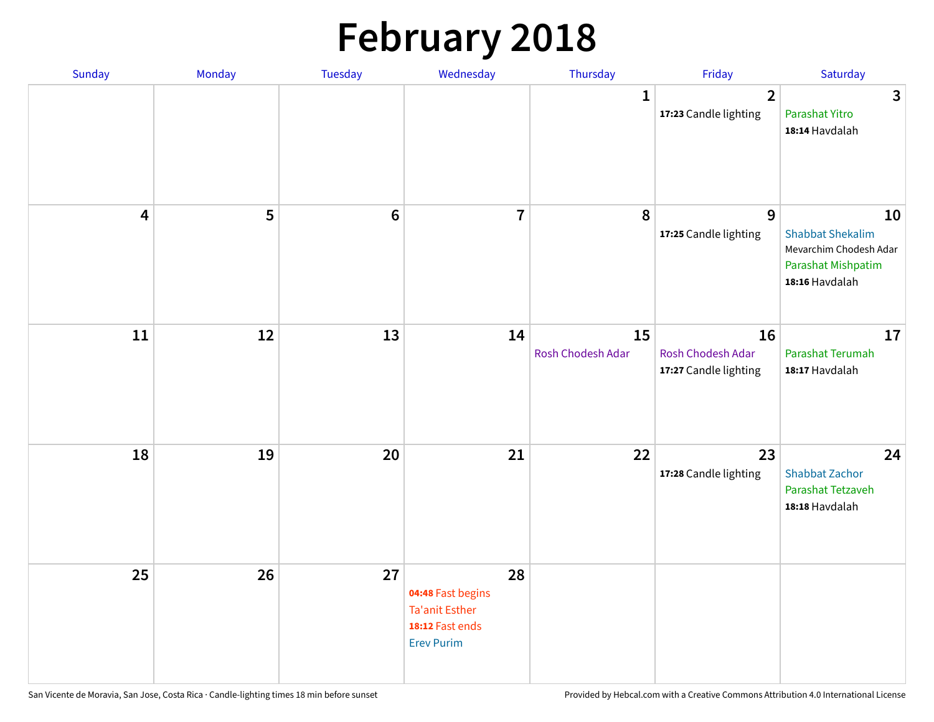# **February 2018**

| Sunday                  | Monday | Tuesday          | Wednesday                                                                                | Thursday                | Friday                                           | Saturday                                                                                        |
|-------------------------|--------|------------------|------------------------------------------------------------------------------------------|-------------------------|--------------------------------------------------|-------------------------------------------------------------------------------------------------|
|                         |        |                  |                                                                                          | $\mathbf{1}$            | $\mathbf{2}$<br>17:23 Candle lighting            | $\mathbf{3}$<br>Parashat Yitro<br>18:14 Havdalah                                                |
| $\overline{\mathbf{4}}$ | 5      | $\boldsymbol{6}$ | $\overline{7}$                                                                           | 8                       | 9<br>17:25 Candle lighting                       | 10<br><b>Shabbat Shekalim</b><br>Mevarchim Chodesh Adar<br>Parashat Mishpatim<br>18:16 Havdalah |
| 11                      | 12     | 13               | 14                                                                                       | 15<br>Rosh Chodesh Adar | 16<br>Rosh Chodesh Adar<br>17:27 Candle lighting | 17<br>Parashat Terumah<br>18:17 Havdalah                                                        |
| 18                      | 19     | 20               | 21                                                                                       | 22                      | 23<br>17:28 Candle lighting                      | 24<br><b>Shabbat Zachor</b><br>Parashat Tetzaveh<br>18:18 Havdalah                              |
| 25                      | 26     | 27               | 28<br>04:48 Fast begins<br><b>Ta'anit Esther</b><br>18:12 Fast ends<br><b>Erev Purim</b> |                         |                                                  |                                                                                                 |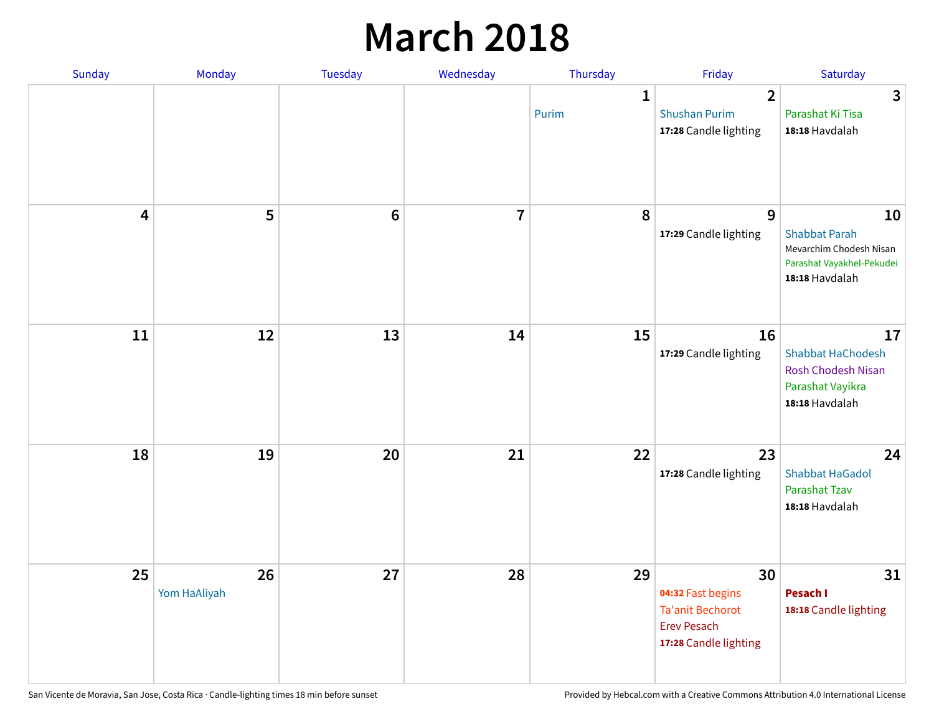## **March 2018**

| Sunday                  | Monday             | <b>Tuesday</b> | Wednesday      | Thursday              | Friday                                                                                            | Saturday                                                                                             |
|-------------------------|--------------------|----------------|----------------|-----------------------|---------------------------------------------------------------------------------------------------|------------------------------------------------------------------------------------------------------|
|                         |                    |                |                | $\mathbf{1}$<br>Purim | $\overline{2}$<br><b>Shushan Purim</b><br>17:28 Candle lighting                                   | 3<br>Parashat Ki Tisa<br>18:18 Havdalah                                                              |
| $\overline{\mathbf{4}}$ | 5                  | $\bf 6$        | $\overline{7}$ | 8                     | 9<br>17:29 Candle lighting                                                                        | 10<br><b>Shabbat Parah</b><br>Mevarchim Chodesh Nisan<br>Parashat Vayakhel-Pekudei<br>18:18 Havdalah |
| 11                      | 12                 | 13             | 14             | 15                    | 16<br>17:29 Candle lighting                                                                       | 17<br><b>Shabbat HaChodesh</b><br><b>Rosh Chodesh Nisan</b><br>Parashat Vayikra<br>18:18 Havdalah    |
| 18                      | 19                 | 20             | 21             | 22                    | 23<br>17:28 Candle lighting                                                                       | 24<br><b>Shabbat HaGadol</b><br>Parashat Tzav<br>18:18 Havdalah                                      |
| 25                      | 26<br>Yom HaAliyah | 27             | 28             | 29                    | 30<br>04:32 Fast begins<br><b>Ta'anit Bechorot</b><br><b>Erev Pesach</b><br>17:28 Candle lighting | 31<br>Pesach I<br>18:18 Candle lighting                                                              |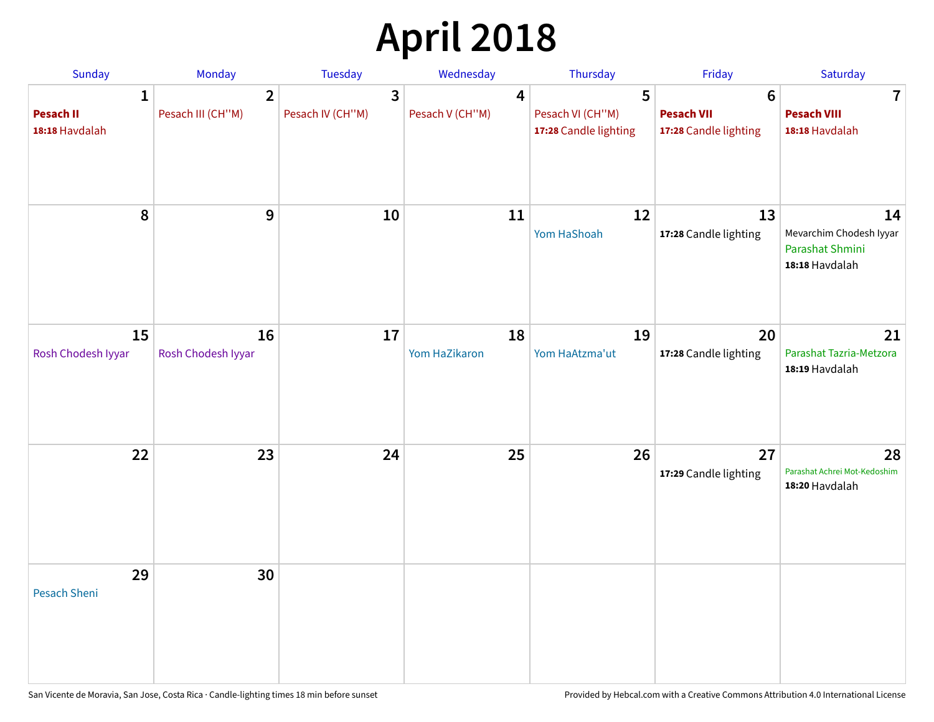# **April 2018**

| Sunday                                  | Monday                              | <b>Tuesday</b>                   | Wednesday            | Thursday                                       | Friday                                                        | Saturday                                                           |
|-----------------------------------------|-------------------------------------|----------------------------------|----------------------|------------------------------------------------|---------------------------------------------------------------|--------------------------------------------------------------------|
| 1<br><b>Pesach II</b><br>18:18 Havdalah | $\overline{2}$<br>Pesach III (CH"M) | $\mathbf{3}$<br>Pesach IV (CH"M) | 4<br>Pesach V (CH"M) | 5<br>Pesach VI (CH"M)<br>17:28 Candle lighting | $6\phantom{1}6$<br><b>Pesach VII</b><br>17:28 Candle lighting | $\overline{7}$<br><b>Pesach VIII</b><br>18:18 Havdalah             |
| 8                                       | 9                                   | 10                               | 11                   | 12<br>Yom HaShoah                              | 13<br>17:28 Candle lighting                                   | 14<br>Mevarchim Chodesh Iyyar<br>Parashat Shmini<br>18:18 Havdalah |
| 15<br>Rosh Chodesh Iyyar                | 16<br>Rosh Chodesh Iyyar            | 17                               | 18<br>Yom HaZikaron  | 19<br>Yom HaAtzma'ut                           | 20<br>17:28 Candle lighting                                   | 21<br>Parashat Tazria-Metzora<br>18:19 Havdalah                    |
| 22                                      | 23                                  | 24                               | 25                   | 26                                             | 27<br>17:29 Candle lighting                                   | 28<br>Parashat Achrei Mot-Kedoshim<br>18:20 Havdalah               |
| 29<br><b>Pesach Sheni</b>               | 30                                  |                                  |                      |                                                |                                                               |                                                                    |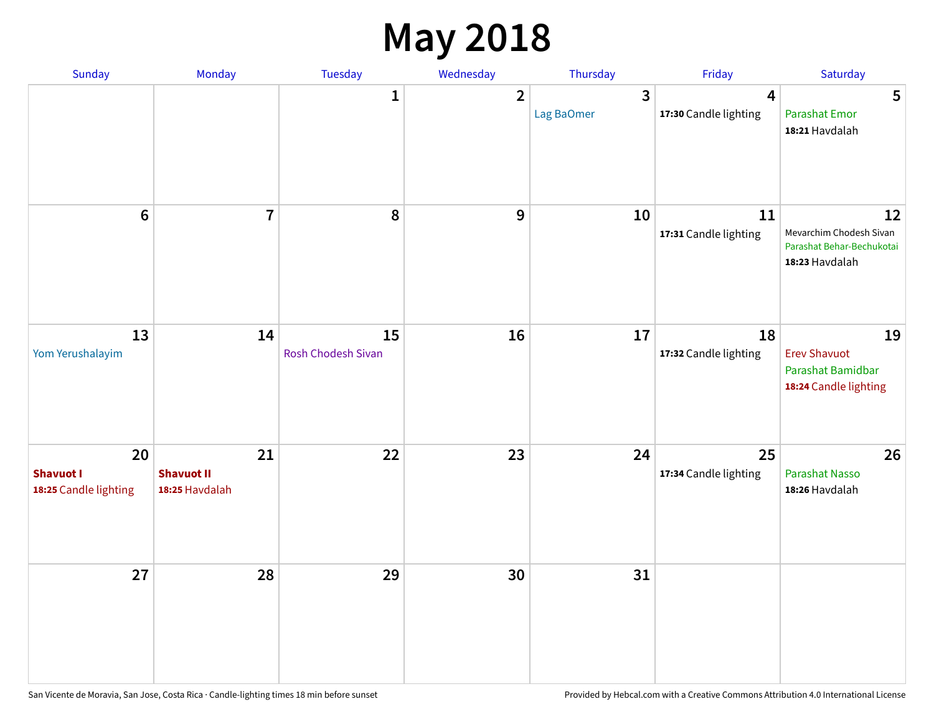# **May 2018**

| Sunday                                          | Monday                                    | Tuesday                  | Wednesday      | Thursday        | Friday                      | Saturday                                                                     |
|-------------------------------------------------|-------------------------------------------|--------------------------|----------------|-----------------|-----------------------------|------------------------------------------------------------------------------|
|                                                 |                                           | $\mathbf{1}$             | $\overline{2}$ | 3<br>Lag BaOmer | 4<br>17:30 Candle lighting  | 5<br><b>Parashat Emor</b><br>18:21 Havdalah                                  |
| $6\phantom{1}$                                  | $\overline{7}$                            | 8                        | 9              | 10              | 11<br>17:31 Candle lighting | 12<br>Mevarchim Chodesh Sivan<br>Parashat Behar-Bechukotai<br>18:23 Havdalah |
| 13<br>Yom Yerushalayim                          | 14                                        | 15<br>Rosh Chodesh Sivan | 16             | 17              | 18<br>17:32 Candle lighting | 19<br><b>Erev Shavuot</b><br>Parashat Bamidbar<br>18:24 Candle lighting      |
| 20<br><b>Shavuot I</b><br>18:25 Candle lighting | 21<br><b>Shavuot II</b><br>18:25 Havdalah | 22                       | 23             | 24              | 25<br>17:34 Candle lighting | 26<br><b>Parashat Nasso</b><br>18:26 Havdalah                                |
| 27                                              | 28                                        | 29                       | 30             | 31              |                             |                                                                              |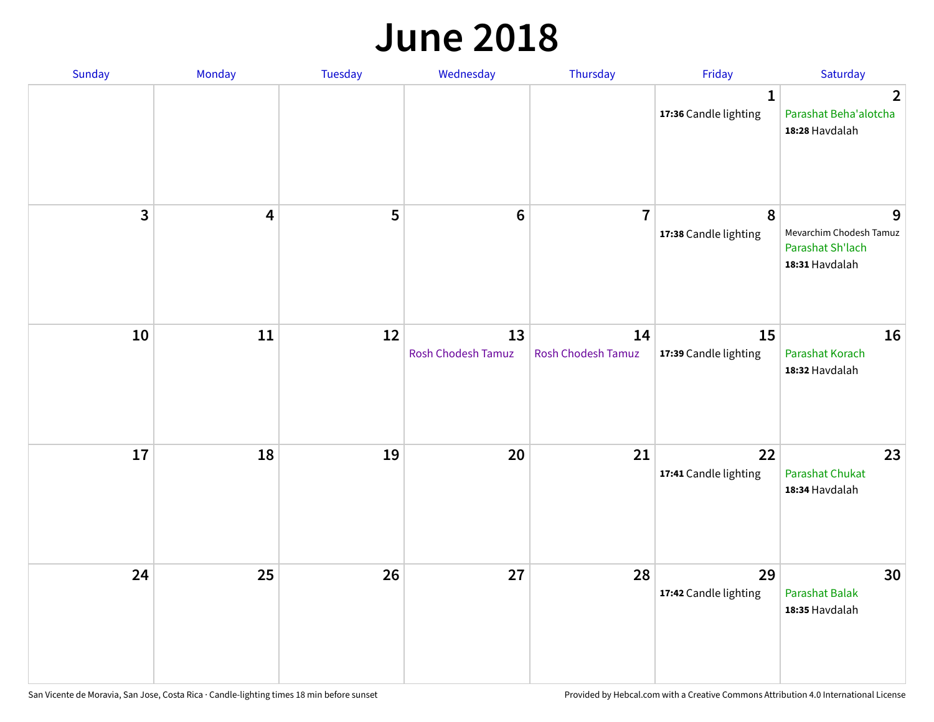#### **June 2018**

| Sunday                  | Monday                  | Tuesday | Wednesday                       | Thursday                        | Friday                                | Saturday                                                           |
|-------------------------|-------------------------|---------|---------------------------------|---------------------------------|---------------------------------------|--------------------------------------------------------------------|
|                         |                         |         |                                 |                                 | $\mathbf{1}$<br>17:36 Candle lighting | $\overline{2}$<br>Parashat Beha'alotcha<br>18:28 Havdalah          |
| $\overline{\mathbf{3}}$ | $\overline{\mathbf{4}}$ | 5       | $\bf 6$                         | $\overline{7}$                  | 8<br>17:38 Candle lighting            | 9<br>Mevarchim Chodesh Tamuz<br>Parashat Sh'lach<br>18:31 Havdalah |
| 10                      | 11                      | 12      | 13<br><b>Rosh Chodesh Tamuz</b> | 14<br><b>Rosh Chodesh Tamuz</b> | 15<br>17:39 Candle lighting           | 16<br>Parashat Korach<br>18:32 Havdalah                            |
| 17                      | 18                      | 19      | 20                              | 21                              | 22<br>17:41 Candle lighting           | 23<br><b>Parashat Chukat</b><br>18:34 Havdalah                     |
| 24                      | 25                      | 26      | 27                              | 28                              | 29<br>17:42 Candle lighting           | 30<br>Parashat Balak<br>18:35 Havdalah                             |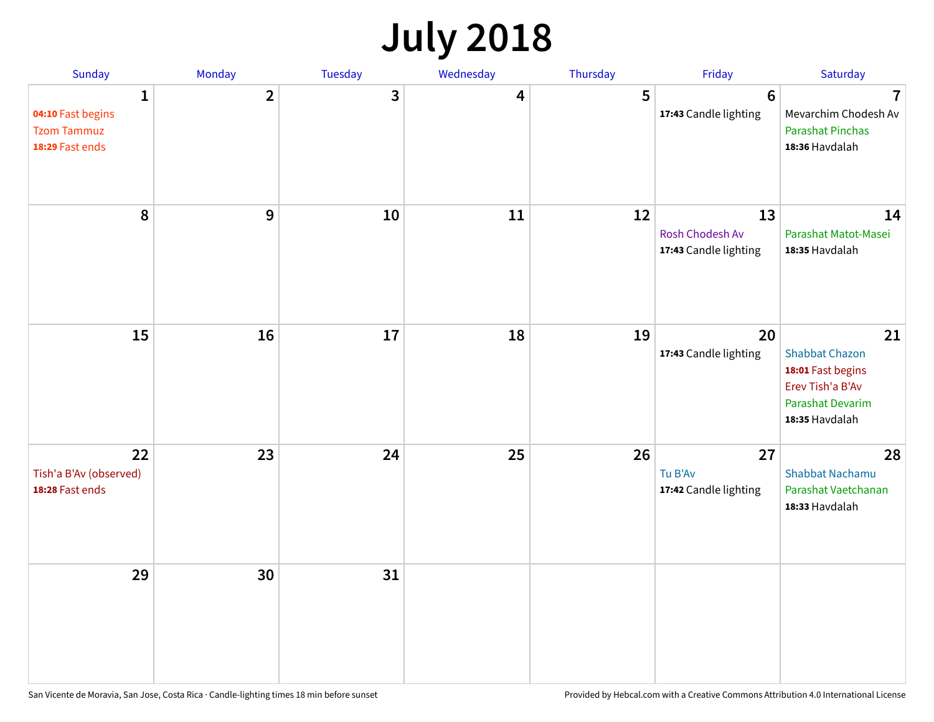# **July 2018**

| Sunday                                                          | Monday         | Tuesday      | Wednesday | Thursday | Friday                                         | Saturday                                                                                                   |
|-----------------------------------------------------------------|----------------|--------------|-----------|----------|------------------------------------------------|------------------------------------------------------------------------------------------------------------|
| 1<br>04:10 Fast begins<br><b>Tzom Tammuz</b><br>18:29 Fast ends | $\overline{2}$ | $\mathbf{3}$ | 4         | 5        | $6\phantom{1}6$<br>17:43 Candle lighting       | $\overline{7}$<br>Mevarchim Chodesh Av<br><b>Parashat Pinchas</b><br>18:36 Havdalah                        |
| 8                                                               | 9              | 10           | 11        | 12       | 13<br>Rosh Chodesh Av<br>17:43 Candle lighting | 14<br>Parashat Matot-Masei<br>18:35 Havdalah                                                               |
| 15                                                              | 16             | 17           | 18        | 19       | 20<br>17:43 Candle lighting                    | 21<br><b>Shabbat Chazon</b><br>18:01 Fast begins<br>Erev Tish'a B'Av<br>Parashat Devarim<br>18:35 Havdalah |
| 22<br>Tish'a B'Av (observed)<br>18:28 Fast ends                 | 23             | 24           | 25        | 26       | 27<br>Tu B'Av<br>17:42 Candle lighting         | 28<br><b>Shabbat Nachamu</b><br>Parashat Vaetchanan<br>18:33 Havdalah                                      |
| 29                                                              | 30             | 31           |           |          |                                                |                                                                                                            |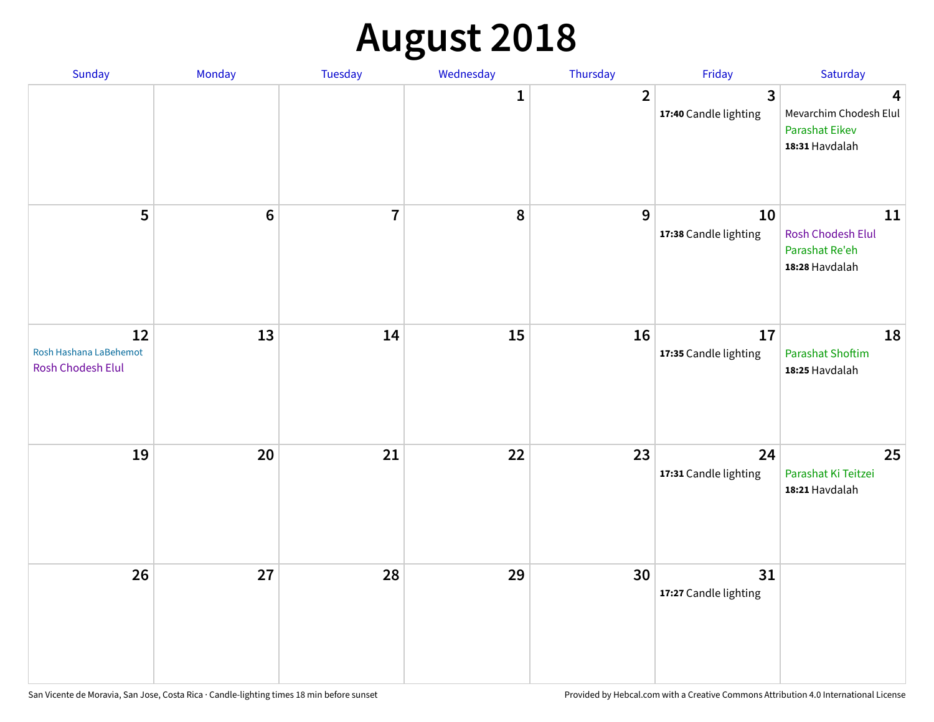# **August 2018**

| Sunday                                                   | Monday           | Tuesday        | Wednesday | Thursday       | Friday                                | Saturday                                                               |
|----------------------------------------------------------|------------------|----------------|-----------|----------------|---------------------------------------|------------------------------------------------------------------------|
|                                                          |                  |                | 1         | $\overline{2}$ | $\mathbf{3}$<br>17:40 Candle lighting | 4<br>Mevarchim Chodesh Elul<br><b>Parashat Eikev</b><br>18:31 Havdalah |
| 5                                                        | $\boldsymbol{6}$ | $\overline{7}$ | $\pmb{8}$ | 9              | 10<br>17:38 Candle lighting           | 11<br>Rosh Chodesh Elul<br>Parashat Re'eh<br>18:28 Havdalah            |
| 12<br>Rosh Hashana LaBehemot<br><b>Rosh Chodesh Elul</b> | 13               | 14             | 15        | 16             | 17<br>17:35 Candle lighting           | 18<br><b>Parashat Shoftim</b><br>18:25 Havdalah                        |
| 19                                                       | 20               | 21             | 22        | 23             | 24<br>17:31 Candle lighting           | 25<br>Parashat Ki Teitzei<br>18:21 Havdalah                            |
| 26                                                       | 27               | 28             | 29        | 30             | 31<br>17:27 Candle lighting           |                                                                        |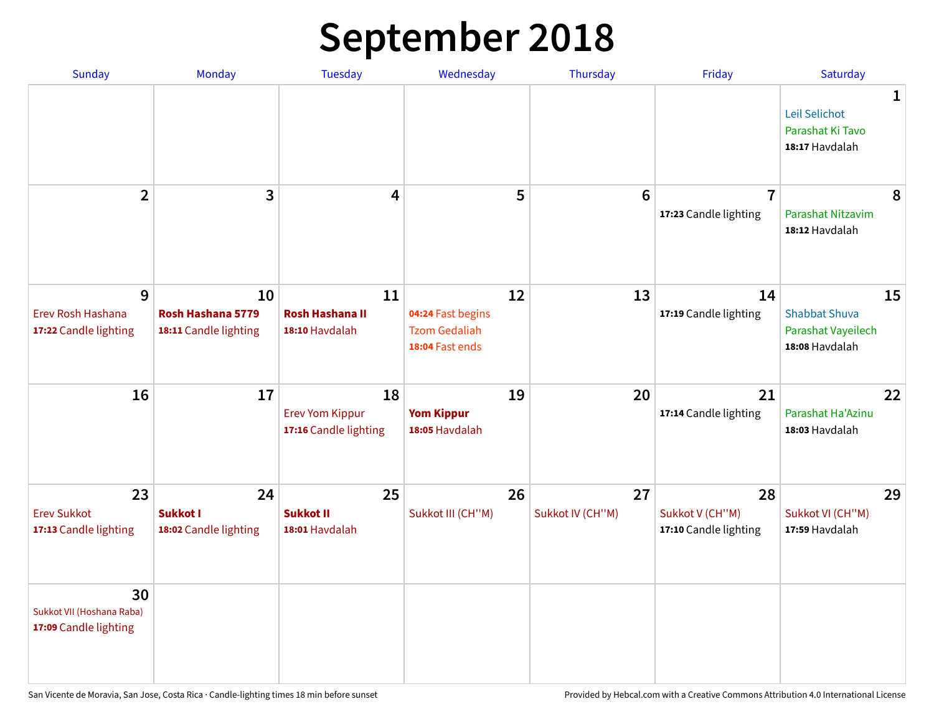# **September 2018**

| <b>Sunday</b>                                            | Monday                                           | <b>Tuesday</b>                                        | Wednesday                                                          | Thursday               | Friday                                         | Saturday                                                           |
|----------------------------------------------------------|--------------------------------------------------|-------------------------------------------------------|--------------------------------------------------------------------|------------------------|------------------------------------------------|--------------------------------------------------------------------|
|                                                          |                                                  |                                                       |                                                                    |                        |                                                | 1<br>Leil Selichot<br>Parashat Ki Tavo<br>18:17 Havdalah           |
| $\overline{2}$                                           | 3                                                | 4                                                     | 5                                                                  | $6\phantom{1}6$        | $\overline{7}$<br>17:23 Candle lighting        | 8<br>Parashat Nitzavim<br>18:12 Havdalah                           |
| 9<br>Erev Rosh Hashana<br>17:22 Candle lighting          | 10<br>Rosh Hashana 5779<br>18:11 Candle lighting | 11<br><b>Rosh Hashana II</b><br>18:10 Havdalah        | 12<br>04:24 Fast begins<br><b>Tzom Gedaliah</b><br>18:04 Fast ends | 13                     | 14<br>17:19 Candle lighting                    | 15<br><b>Shabbat Shuva</b><br>Parashat Vayeilech<br>18:08 Havdalah |
| 16                                                       | 17                                               | 18<br><b>Erev Yom Kippur</b><br>17:16 Candle lighting | 19<br><b>Yom Kippur</b><br>18:05 Havdalah                          | 20                     | 21<br>17:14 Candle lighting                    | 22<br>Parashat Ha'Azinu<br>18:03 Havdalah                          |
| 23<br><b>Erev Sukkot</b><br>17:13 Candle lighting        | 24<br>Sukkot I<br>18:02 Candle lighting          | 25<br><b>Sukkot II</b><br>18:01 Havdalah              | 26<br>Sukkot III (CH"M)                                            | 27<br>Sukkot IV (CH"M) | 28<br>Sukkot V (CH"M)<br>17:10 Candle lighting | 29<br>Sukkot VI (CH"M)<br>17:59 Havdalah                           |
| 30<br>Sukkot VII (Hoshana Raba)<br>17:09 Candle lighting |                                                  |                                                       |                                                                    |                        |                                                |                                                                    |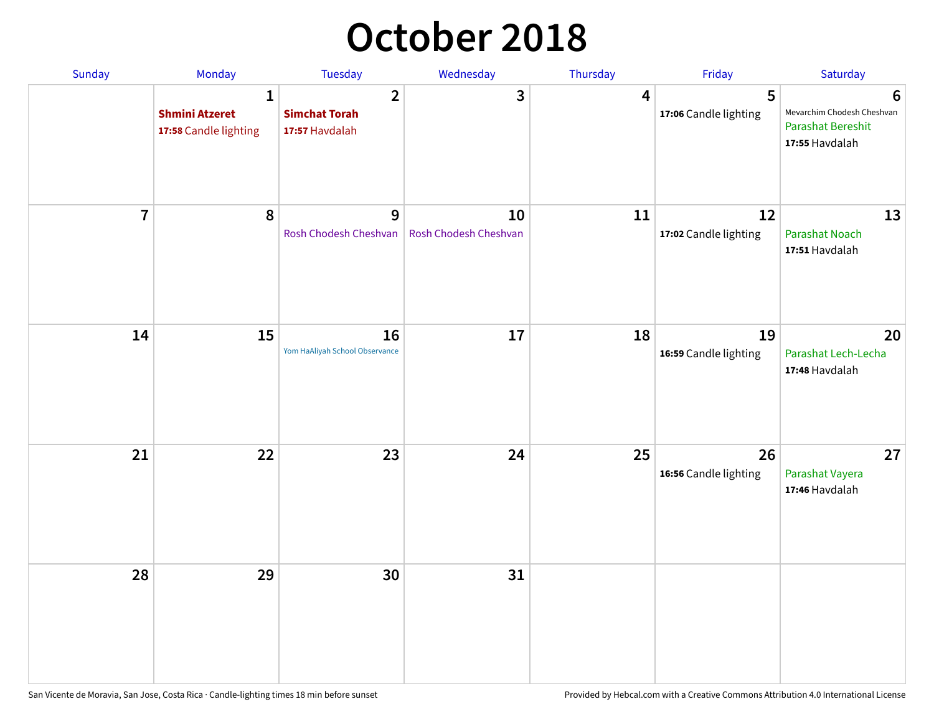# **October 2018**

| Sunday         | Monday                                              | <b>Tuesday</b>                                           | Wednesday                   | Thursday | Friday                      | Saturday                                                                      |
|----------------|-----------------------------------------------------|----------------------------------------------------------|-----------------------------|----------|-----------------------------|-------------------------------------------------------------------------------|
|                | 1<br><b>Shmini Atzeret</b><br>17:58 Candle lighting | $\overline{2}$<br><b>Simchat Torah</b><br>17:57 Havdalah | 3                           | 4        | 5<br>17:06 Candle lighting  | 6<br>Mevarchim Chodesh Cheshvan<br><b>Parashat Bereshit</b><br>17:55 Havdalah |
| $\overline{7}$ | $\boldsymbol{8}$                                    | 9<br>Rosh Chodesh Cheshvan                               | 10<br>Rosh Chodesh Cheshvan | 11       | 12<br>17:02 Candle lighting | 13<br><b>Parashat Noach</b><br>17:51 Havdalah                                 |
| 14             | 15                                                  | 16<br>Yom HaAliyah School Observance                     | 17                          | 18       | 19<br>16:59 Candle lighting | 20<br>Parashat Lech-Lecha<br>17:48 Havdalah                                   |
| 21             | 22                                                  | 23                                                       | 24                          | 25       | 26<br>16:56 Candle lighting | 27<br>Parashat Vayera<br>17:46 Havdalah                                       |
| 28             | 29                                                  | 30                                                       | 31                          |          |                             |                                                                               |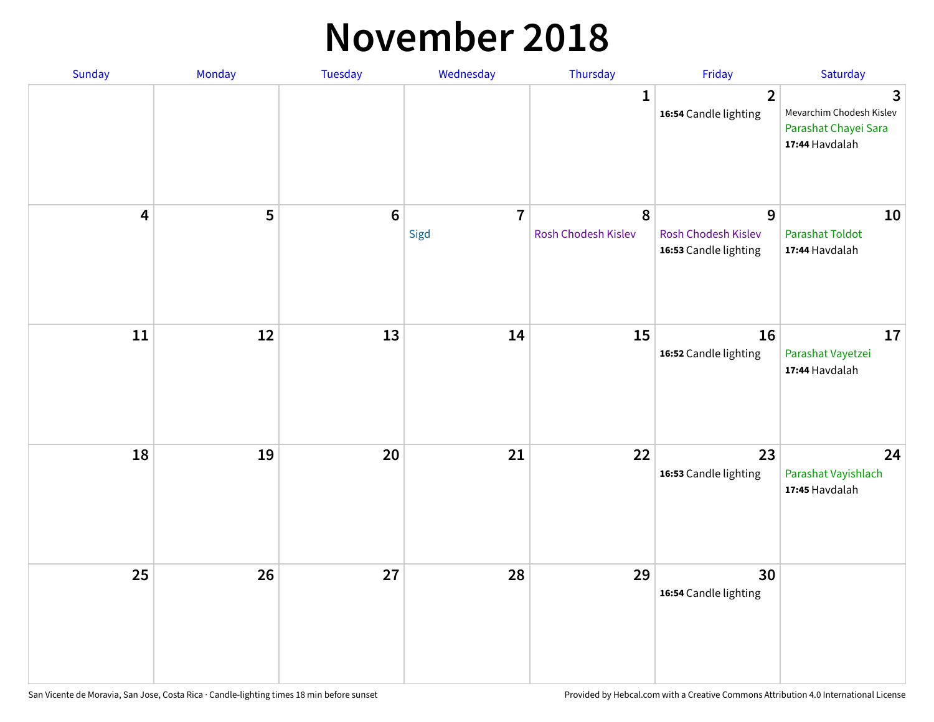#### **November 2018**

| Sunday                  | Monday | Tuesday          | Wednesday              | Thursday                 | Friday                                            | Saturday                                                                |
|-------------------------|--------|------------------|------------------------|--------------------------|---------------------------------------------------|-------------------------------------------------------------------------|
|                         |        |                  |                        | $\mathbf{1}$             | $\overline{2}$<br>16:54 Candle lighting           | 3<br>Mevarchim Chodesh Kislev<br>Parashat Chayei Sara<br>17:44 Havdalah |
| $\overline{\mathbf{4}}$ | 5      | $\boldsymbol{6}$ | $\overline{7}$<br>Sigd | 8<br>Rosh Chodesh Kislev | 9<br>Rosh Chodesh Kislev<br>16:53 Candle lighting | 10<br>Parashat Toldot<br>17:44 Havdalah                                 |
| ${\bf 11}$              | 12     | 13               | 14                     | 15                       | 16<br>16:52 Candle lighting                       | 17<br>Parashat Vayetzei<br>17:44 Havdalah                               |
| 18                      | 19     | 20               | 21                     | 22                       | 23<br>16:53 Candle lighting                       | 24<br>Parashat Vayishlach<br>17:45 Havdalah                             |
| 25                      | 26     | 27               | 28                     | 29                       | 30<br>16:54 Candle lighting                       |                                                                         |